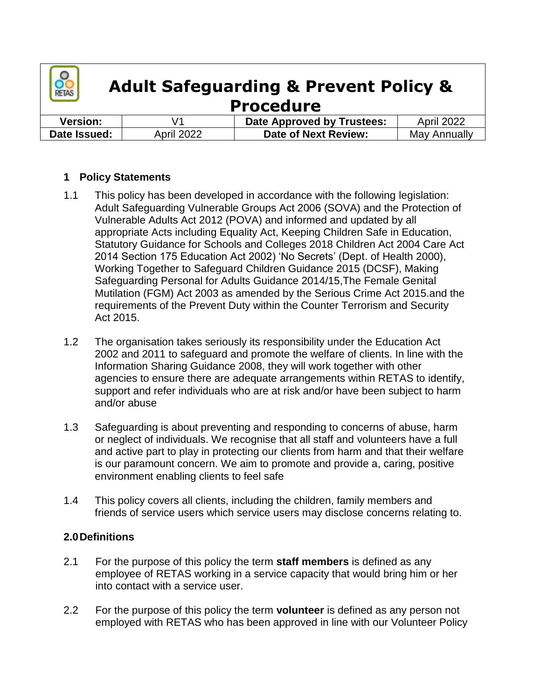

# **Adult Safeguarding & Prevent Policy & Procedure**

| <b>Version:</b> |                   | <b>Date Approved by Trustees:</b> | <b>April 2022</b> |
|-----------------|-------------------|-----------------------------------|-------------------|
| Date Issued:    | <b>April 2022</b> | Date of Next Review:              | May Annually      |

### **1 Policy Statements**

- 1.1 This policy has been developed in accordance with the following legislation: Adult Safeguarding Vulnerable Groups Act 2006 (SOVA) and the Protection of Vulnerable Adults Act 2012 (POVA) and informed and updated by all appropriate Acts including Equality Act, Keeping Children Safe in Education, Statutory Guidance for Schools and Colleges 2018 Children Act 2004 Care Act 2014 Section 175 Education Act 2002) 'No Secrets' (Dept. of Health 2000), Working Together to Safeguard Children Guidance 2015 (DCSF), Making Safeguarding Personal for Adults Guidance 2014/15,The Female Genital Mutilation (FGM) Act 2003 as amended by the Serious Crime Act 2015.and the requirements of the Prevent Duty within the Counter Terrorism and Security Act 2015.
- 1.2 The organisation takes seriously its responsibility under the Education Act 2002 and 2011 to safeguard and promote the welfare of clients. In line with the Information Sharing Guidance 2008, they will work together with other agencies to ensure there are adequate arrangements within RETAS to identify, support and refer individuals who are at risk and/or have been subject to harm and/or abuse
- 1.3 Safeguarding is about preventing and responding to concerns of abuse, harm or neglect of individuals. We recognise that all staff and volunteers have a full and active part to play in protecting our clients from harm and that their welfare is our paramount concern. We aim to promote and provide a, caring, positive environment enabling clients to feel safe
- 1.4 This policy covers all clients, including the children, family members and friends of service users which service users may disclose concerns relating to.

#### **2.0Definitions**

- 2.1 For the purpose of this policy the term **staff members** is defined as any employee of RETAS working in a service capacity that would bring him or her into contact with a service user.
- 2.2 For the purpose of this policy the term **volunteer** is defined as any person not employed with RETAS who has been approved in line with our Volunteer Policy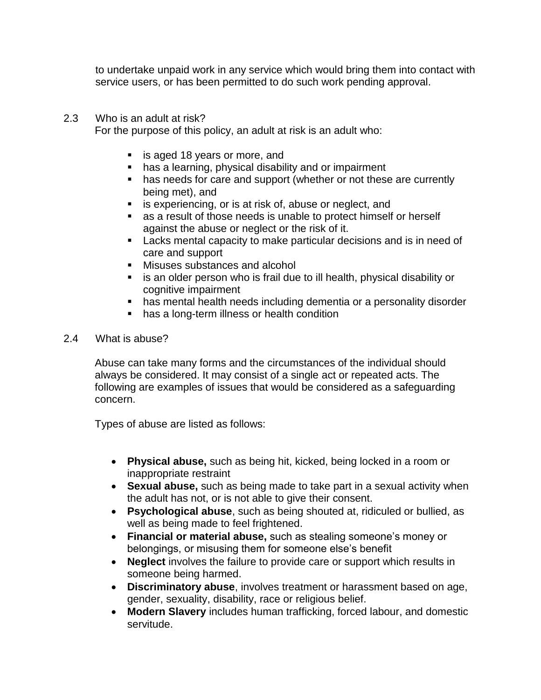to undertake unpaid work in any service which would bring them into contact with service users, or has been permitted to do such work pending approval.

#### 2.3 Who is an adult at risk?

For the purpose of this policy, an adult at risk is an adult who:

- **is aged 18 years or more, and**
- has a learning, physical disability and or impairment
- has needs for care and support (whether or not these are currently being met), and
- **EXECT:** is experiencing, or is at risk of, abuse or neglect, and
- as a result of those needs is unable to protect himself or herself against the abuse or neglect or the risk of it.
- **Lacks mental capacity to make particular decisions and is in need of** care and support
- Misuses substances and alcohol
- **EXTE is an older person who is frail due to ill health, physical disability or** cognitive impairment
- has mental health needs including dementia or a personality disorder
- has a long-term illness or health condition
- 2.4 What is abuse?

Abuse can take many forms and the circumstances of the individual should always be considered. It may consist of a single act or repeated acts. The following are examples of issues that would be considered as a safeguarding concern.

Types of abuse are listed as follows:

- **Physical abuse,** such as being hit, kicked, being locked in a room or inappropriate restraint
- **Sexual abuse,** such as being made to take part in a sexual activity when the adult has not, or is not able to give their consent.
- **Psychological abuse**, such as being shouted at, ridiculed or bullied, as well as being made to feel frightened.
- **Financial or material abuse,** such as stealing someone's money or belongings, or misusing them for someone else's benefit
- **Neglect** involves the failure to provide care or support which results in someone being harmed.
- **Discriminatory abuse**, involves treatment or harassment based on age, gender, sexuality, disability, race or religious belief.
- **Modern Slavery** includes human trafficking, forced labour, and domestic servitude.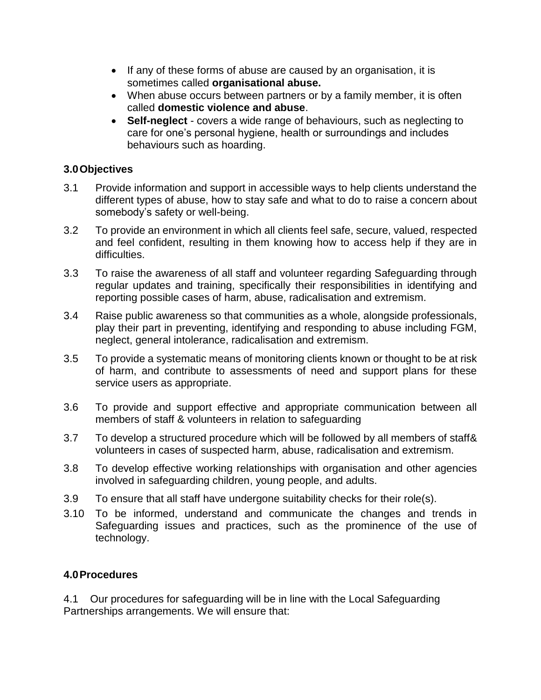- If any of these forms of abuse are caused by an organisation, it is sometimes called **organisational abuse.**
- When abuse occurs between partners or by a family member, it is often called **domestic violence and abuse**.
- **Self-neglect** covers a wide range of behaviours, such as neglecting to care for one's personal hygiene, health or surroundings and includes behaviours such as hoarding.

#### **3.0Objectives**

- 3.1 Provide information and support in accessible ways to help clients understand the different types of abuse, how to stay safe and what to do to raise a concern about somebody's safety or well-being.
- 3.2 To provide an environment in which all clients feel safe, secure, valued, respected and feel confident, resulting in them knowing how to access help if they are in difficulties.
- 3.3 To raise the awareness of all staff and volunteer regarding Safeguarding through regular updates and training, specifically their responsibilities in identifying and reporting possible cases of harm, abuse, radicalisation and extremism.
- 3.4 Raise public awareness so that communities as a whole, alongside professionals, play their part in preventing, identifying and responding to abuse including FGM, neglect, general intolerance, radicalisation and extremism.
- 3.5 To provide a systematic means of monitoring clients known or thought to be at risk of harm, and contribute to assessments of need and support plans for these service users as appropriate.
- 3.6 To provide and support effective and appropriate communication between all members of staff & volunteers in relation to safeguarding
- 3.7 To develop a structured procedure which will be followed by all members of staff& volunteers in cases of suspected harm, abuse, radicalisation and extremism.
- 3.8 To develop effective working relationships with organisation and other agencies involved in safeguarding children, young people, and adults.
- 3.9 To ensure that all staff have undergone suitability checks for their role(s).
- 3.10 To be informed, understand and communicate the changes and trends in Safeguarding issues and practices, such as the prominence of the use of technology.

#### **4.0Procedures**

4.1 Our procedures for safeguarding will be in line with the Local Safeguarding Partnerships arrangements. We will ensure that: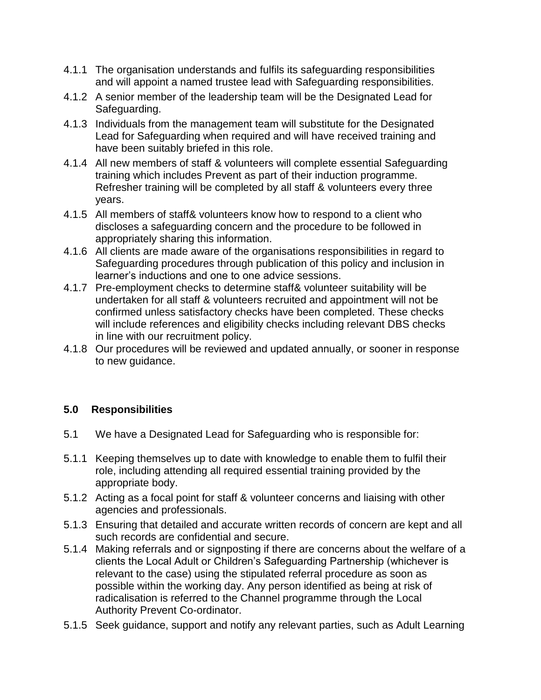- 4.1.1 The organisation understands and fulfils its safeguarding responsibilities and will appoint a named trustee lead with Safeguarding responsibilities.
- 4.1.2 A senior member of the leadership team will be the Designated Lead for Safeguarding.
- 4.1.3 Individuals from the management team will substitute for the Designated Lead for Safeguarding when required and will have received training and have been suitably briefed in this role.
- 4.1.4 All new members of staff & volunteers will complete essential Safeguarding training which includes Prevent as part of their induction programme. Refresher training will be completed by all staff & volunteers every three years.
- 4.1.5 All members of staff& volunteers know how to respond to a client who discloses a safeguarding concern and the procedure to be followed in appropriately sharing this information.
- 4.1.6 All clients are made aware of the organisations responsibilities in regard to Safeguarding procedures through publication of this policy and inclusion in learner's inductions and one to one advice sessions.
- 4.1.7 Pre-employment checks to determine staff& volunteer suitability will be undertaken for all staff & volunteers recruited and appointment will not be confirmed unless satisfactory checks have been completed. These checks will include references and eligibility checks including relevant DBS checks in line with our recruitment policy.
- 4.1.8 Our procedures will be reviewed and updated annually, or sooner in response to new guidance.

### **5.0 Responsibilities**

- 5.1 We have a Designated Lead for Safeguarding who is responsible for:
- 5.1.1 Keeping themselves up to date with knowledge to enable them to fulfil their role, including attending all required essential training provided by the appropriate body.
- 5.1.2 Acting as a focal point for staff & volunteer concerns and liaising with other agencies and professionals.
- 5.1.3 Ensuring that detailed and accurate written records of concern are kept and all such records are confidential and secure.
- 5.1.4 Making referrals and or signposting if there are concerns about the welfare of a clients the Local Adult or Children's Safeguarding Partnership (whichever is relevant to the case) using the stipulated referral procedure as soon as possible within the working day. Any person identified as being at risk of radicalisation is referred to the Channel programme through the Local Authority Prevent Co-ordinator.
- 5.1.5 Seek guidance, support and notify any relevant parties, such as Adult Learning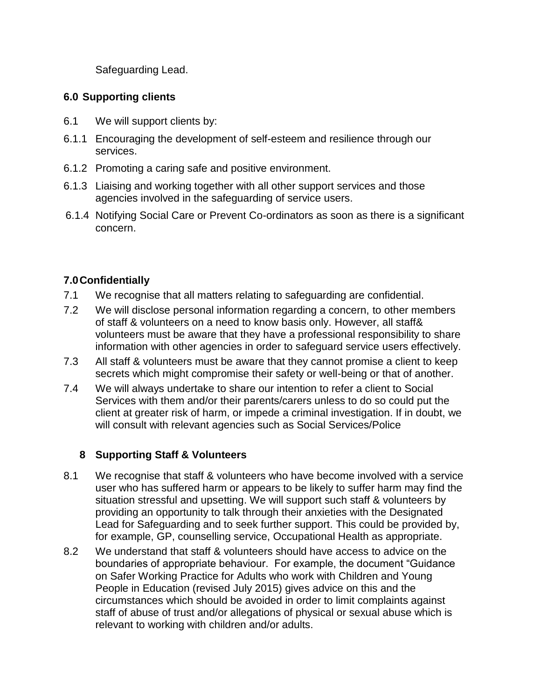Safeguarding Lead.

## **6.0 Supporting clients**

- 6.1 We will support clients by:
- 6.1.1 Encouraging the development of self-esteem and resilience through our services.
- 6.1.2 Promoting a caring safe and positive environment.
- 6.1.3 Liaising and working together with all other support services and those agencies involved in the safeguarding of service users.
- 6.1.4 Notifying Social Care or Prevent Co-ordinators as soon as there is a significant concern.

## **7.0Confidentially**

- 7.1 We recognise that all matters relating to safeguarding are confidential.
- 7.2 We will disclose personal information regarding a concern, to other members of staff & volunteers on a need to know basis only. However, all staff& volunteers must be aware that they have a professional responsibility to share information with other agencies in order to safeguard service users effectively.
- 7.3 All staff & volunteers must be aware that they cannot promise a client to keep secrets which might compromise their safety or well-being or that of another.
- 7.4 We will always undertake to share our intention to refer a client to Social Services with them and/or their parents/carers unless to do so could put the client at greater risk of harm, or impede a criminal investigation. If in doubt, we will consult with relevant agencies such as Social Services/Police

### **8 Supporting Staff & Volunteers**

- 8.1 We recognise that staff & volunteers who have become involved with a service user who has suffered harm or appears to be likely to suffer harm may find the situation stressful and upsetting. We will support such staff & volunteers by providing an opportunity to talk through their anxieties with the Designated Lead for Safeguarding and to seek further support. This could be provided by, for example, GP, counselling service, Occupational Health as appropriate.
- 8.2 We understand that staff & volunteers should have access to advice on the boundaries of appropriate behaviour. For example, the document "Guidance on Safer Working Practice for Adults who work with Children and Young People in Education (revised July 2015) gives advice on this and the circumstances which should be avoided in order to limit complaints against staff of abuse of trust and/or allegations of physical or sexual abuse which is relevant to working with children and/or adults.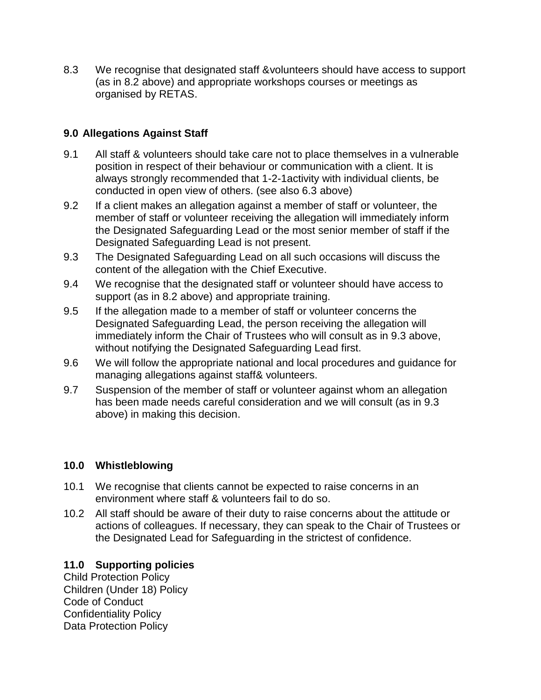8.3 We recognise that designated staff &volunteers should have access to support (as in 8.2 above) and appropriate workshops courses or meetings as organised by RETAS.

## **9.0 Allegations Against Staff**

- 9.1 All staff & volunteers should take care not to place themselves in a vulnerable position in respect of their behaviour or communication with a client. It is always strongly recommended that 1-2-1activity with individual clients, be conducted in open view of others. (see also 6.3 above)
- 9.2 If a client makes an allegation against a member of staff or volunteer, the member of staff or volunteer receiving the allegation will immediately inform the Designated Safeguarding Lead or the most senior member of staff if the Designated Safeguarding Lead is not present.
- 9.3 The Designated Safeguarding Lead on all such occasions will discuss the content of the allegation with the Chief Executive.
- 9.4 We recognise that the designated staff or volunteer should have access to support (as in 8.2 above) and appropriate training.
- 9.5 If the allegation made to a member of staff or volunteer concerns the Designated Safeguarding Lead, the person receiving the allegation will immediately inform the Chair of Trustees who will consult as in 9.3 above, without notifying the Designated Safeguarding Lead first.
- 9.6 We will follow the appropriate national and local procedures and guidance for managing allegations against staff& volunteers.
- 9.7 Suspension of the member of staff or volunteer against whom an allegation has been made needs careful consideration and we will consult (as in 9.3 above) in making this decision.

### **10.0 Whistleblowing**

- 10.1 We recognise that clients cannot be expected to raise concerns in an environment where staff & volunteers fail to do so.
- 10.2 All staff should be aware of their duty to raise concerns about the attitude or actions of colleagues. If necessary, they can speak to the Chair of Trustees or the Designated Lead for Safeguarding in the strictest of confidence.

### **11.0 Supporting policies**

Child Protection Policy Children (Under 18) Policy Code of Conduct Confidentiality Policy Data Protection Policy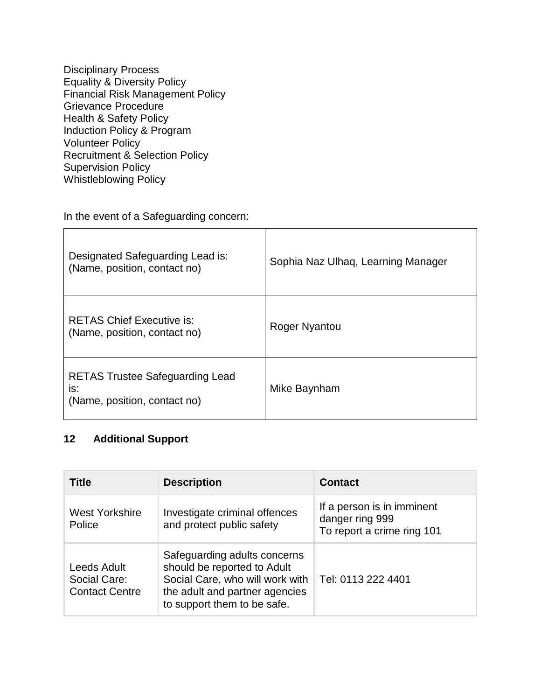Disciplinary Process Equality & Diversity Policy Financial Risk Management Policy Grievance Procedure Health & Safety Policy Induction Policy & Program Volunteer Policy Recruitment & Selection Policy Supervision Policy Whistleblowing Policy

In the event of a Safeguarding concern:

| Designated Safeguarding Lead is:<br>(Name, position, contact no)              | Sophia Naz Ulhaq, Learning Manager |
|-------------------------------------------------------------------------------|------------------------------------|
| <b>RETAS Chief Executive is:</b><br>(Name, position, contact no)              | Roger Nyantou                      |
| <b>RETAS Trustee Safeguarding Lead</b><br>is:<br>(Name, position, contact no) | Mike Baynham                       |

## **12 Additional Support**

| <b>Title</b>                                         | <b>Description</b>                                                                                                                                              | <b>Contact</b>                                                              |
|------------------------------------------------------|-----------------------------------------------------------------------------------------------------------------------------------------------------------------|-----------------------------------------------------------------------------|
| <b>West Yorkshire</b><br>Police                      | Investigate criminal offences<br>and protect public safety                                                                                                      | If a person is in imminent<br>danger ring 999<br>To report a crime ring 101 |
| Leeds Adult<br>Social Care:<br><b>Contact Centre</b> | Safeguarding adults concerns<br>should be reported to Adult<br>Social Care, who will work with<br>the adult and partner agencies<br>to support them to be safe. | Tel: 0113 222 4401                                                          |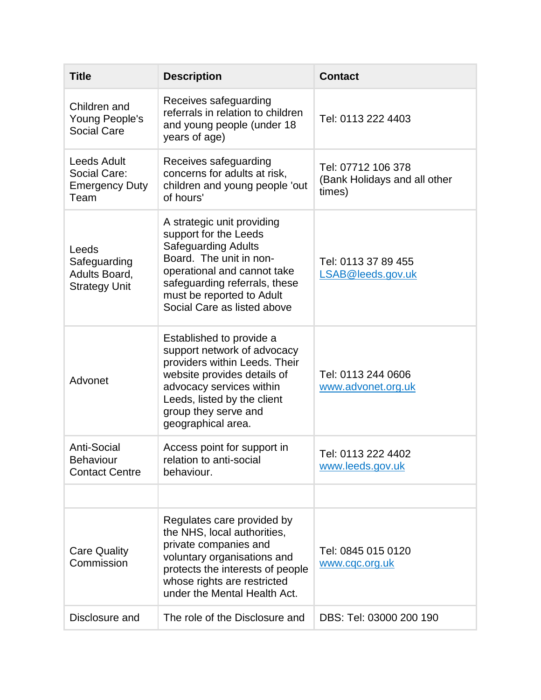| <b>Title</b>                                                        | <b>Description</b>                                                                                                                                                                                                                       | <b>Contact</b>                                               |
|---------------------------------------------------------------------|------------------------------------------------------------------------------------------------------------------------------------------------------------------------------------------------------------------------------------------|--------------------------------------------------------------|
| Children and<br>Young People's<br><b>Social Care</b>                | Receives safeguarding<br>referrals in relation to children<br>and young people (under 18<br>years of age)                                                                                                                                | Tel: 0113 222 4403                                           |
| <b>Leeds Adult</b><br>Social Care:<br><b>Emergency Duty</b><br>Team | Receives safeguarding<br>concerns for adults at risk,<br>children and young people 'out<br>of hours'                                                                                                                                     | Tel: 07712 106 378<br>(Bank Holidays and all other<br>times) |
| Leeds<br>Safeguarding<br>Adults Board,<br><b>Strategy Unit</b>      | A strategic unit providing<br>support for the Leeds<br><b>Safeguarding Adults</b><br>Board. The unit in non-<br>operational and cannot take<br>safeguarding referrals, these<br>must be reported to Adult<br>Social Care as listed above | Tel: 0113 37 89 455<br>LSAB@leeds.gov.uk                     |
| Advonet                                                             | Established to provide a<br>support network of advocacy<br>providers within Leeds. Their<br>website provides details of<br>advocacy services within<br>Leeds, listed by the client<br>group they serve and<br>geographical area.         | Tel: 0113 244 0606<br>www.advonet.org.uk                     |
| <b>Anti-Social</b><br><b>Behaviour</b><br><b>Contact Centre</b>     | Access point for support in<br>relation to anti-social<br>behaviour.                                                                                                                                                                     | Tel: 0113 222 4402<br>www.leeds.gov.uk                       |
|                                                                     |                                                                                                                                                                                                                                          |                                                              |
| <b>Care Quality</b><br>Commission                                   | Regulates care provided by<br>the NHS, local authorities,<br>private companies and<br>voluntary organisations and<br>protects the interests of people<br>whose rights are restricted<br>under the Mental Health Act.                     | Tel: 0845 015 0120<br>www.cqc.org.uk                         |
| Disclosure and                                                      | The role of the Disclosure and                                                                                                                                                                                                           | DBS: Tel: 03000 200 190                                      |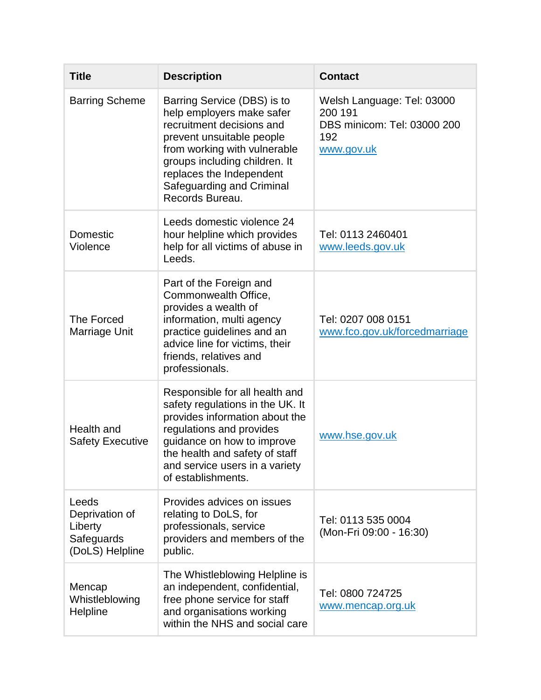| <b>Title</b>                                                        | <b>Description</b>                                                                                                                                                                                                                                              | <b>Contact</b>                                                                            |
|---------------------------------------------------------------------|-----------------------------------------------------------------------------------------------------------------------------------------------------------------------------------------------------------------------------------------------------------------|-------------------------------------------------------------------------------------------|
| <b>Barring Scheme</b>                                               | Barring Service (DBS) is to<br>help employers make safer<br>recruitment decisions and<br>prevent unsuitable people<br>from working with vulnerable<br>groups including children. It<br>replaces the Independent<br>Safeguarding and Criminal<br>Records Bureau. | Welsh Language: Tel: 03000<br>200 191<br>DBS minicom: Tel: 03000 200<br>192<br>www.gov.uk |
| Domestic<br>Violence                                                | Leeds domestic violence 24<br>hour helpline which provides<br>help for all victims of abuse in<br>Leeds.                                                                                                                                                        | Tel: 0113 2460401<br>www.leeds.gov.uk                                                     |
| The Forced<br>Marriage Unit                                         | Part of the Foreign and<br>Commonwealth Office,<br>provides a wealth of<br>information, multi agency<br>practice guidelines and an<br>advice line for victims, their<br>friends, relatives and<br>professionals.                                                | Tel: 0207 008 0151<br>www.fco.gov.uk/forcedmarriage                                       |
| Health and<br><b>Safety Executive</b>                               | Responsible for all health and<br>safety regulations in the UK. It<br>provides information about the<br>regulations and provides<br>guidance on how to improve<br>the health and safety of staff<br>and service users in a variety<br>of establishments.        | www.hse.gov.uk                                                                            |
| Leeds<br>Deprivation of<br>Liberty<br>Safeguards<br>(DoLS) Helpline | Provides advices on issues<br>relating to DoLS, for<br>professionals, service<br>providers and members of the<br>public.                                                                                                                                        | Tel: 0113 535 0004<br>(Mon-Fri 09:00 - 16:30)                                             |
| Mencap<br>Whistleblowing<br>Helpline                                | The Whistleblowing Helpline is<br>an independent, confidential,<br>free phone service for staff<br>and organisations working<br>within the NHS and social care                                                                                                  | Tel: 0800 724725<br>www.mencap.org.uk                                                     |